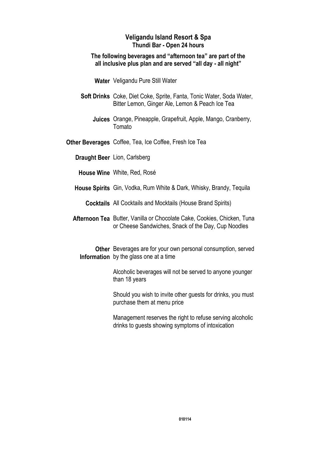#### **Veligandu Island Resort & Spa Thundi Bar - Open 24 hours**

#### **The following beverages and "afternoon tea" are part of the all inclusive plus plan and are served "all day - all night"**

Water Veligandu Pure Still Water

- Soft Drinks Coke, Diet Coke, Sprite, Fanta, Tonic Water, Soda Water, Bitter Lemon, Ginger Ale, Lemon & Peach Ice Tea
	- Juices Orange, Pineapple, Grapefruit, Apple, Mango, Cranberry, Tomato
- Other Beverages Coffee, Tea, Ice Coffee, Fresh Ice Tea

**Draught Beer** Lion, Carlsberg

House Wine White, Red, Rosé

- House Spirits Gin, Vodka, Rum White & Dark, Whisky, Brandy, Tequila
	- **Cocktails** All Cocktails and Mocktails (House Brand Spirits)
- Afternoon Tea Butter, Vanilla or Chocolate Cake, Cookies, Chicken, Tuna or Cheese Sandwiches, Snack of the Day, Cup Noodles
	- Other Beverages are for your own personal consumption, served Information by the glass one at a time
		- Alcoholic beverages will not be served to anyone younger than 18 years

Should you wish to invite other guests for drinks, you must purchase them at menu price

Management reserves the right to refuse serving alcoholic drinks to guests showing symptoms of intoxication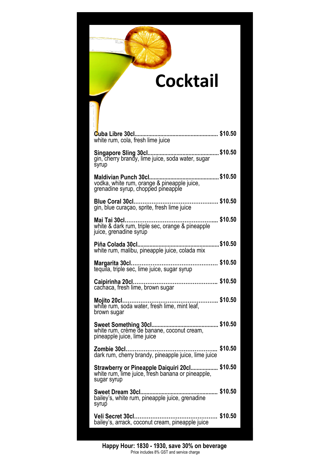### **Cocktail**

| white rum, cola, fresh lime juice                                                                                 |  |
|-------------------------------------------------------------------------------------------------------------------|--|
| syrup                                                                                                             |  |
| grenadine syrup, chopped pineapple                                                                                |  |
| gin, blue curaçao, sprite, fresh lime juice                                                                       |  |
| \$10.50<br>Mai Tai 30cl<br>white & dark rum, triple sec, orange & pineapple<br>juice, grenadine syrup             |  |
|                                                                                                                   |  |
|                                                                                                                   |  |
| cachaca, fresh lime, brown sugar                                                                                  |  |
| \$10.50<br>Mojito 20cl<br>white rum, soda water, fresh lime, mint leaf,<br>brown sugar                            |  |
| Sweet Something 30cl<br>\$10.50<br>white rum, crème de banane, coconut cream,<br>pineapple juice, lime juice      |  |
| \$10.50                                                                                                           |  |
| Strawberry or Pineapple Daiquiri 20cl \$10.50<br>white rum, lime juice, fresh banana or pineapple,<br>sugar syrup |  |
| \$10.50<br>Sweet Dream 30cl<br>bailey's, white rum, pineapple juice, grenadine<br>syrup                           |  |
| \$10.50<br>Veli Secret 30cl<br>bailey's, arrack, coconut cream, pineapple juice                                   |  |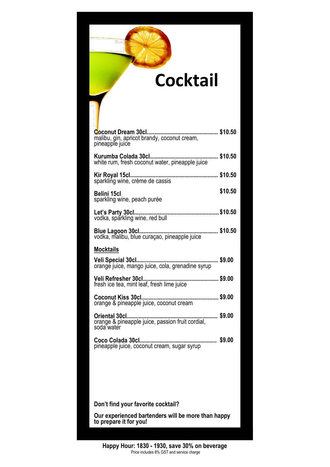### **Cocktail**

| malibu, gin, apricot brandy, coconut cream,<br>pineapple juice               |         |
|------------------------------------------------------------------------------|---------|
|                                                                              |         |
| sparkling wine, crème de cassis                                              |         |
| Belini 15cl<br>sparkling wine, peach purée                                   | \$10.50 |
|                                                                              |         |
|                                                                              |         |
| <b>Mocktails</b>                                                             |         |
|                                                                              |         |
| fresh ice tea, mint leaf, fresh lime juice                                   |         |
| orange & pineapple juice, coconut cream                                      |         |
| soda water                                                                   |         |
| pineapple juice, coconut cream, sugar syrup                                  |         |
|                                                                              |         |
|                                                                              |         |
|                                                                              |         |
| Don't find your favorite cocktail?                                           |         |
| Our experienced bartenders will be more than happy<br>to prepare it for you! |         |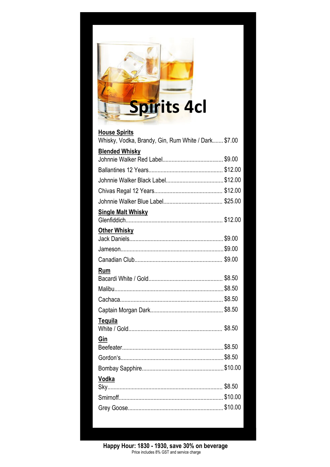

| <b>House Spirits</b>                                |  |
|-----------------------------------------------------|--|
| Whisky, Vodka, Brandy, Gin, Rum White / Dark \$7.00 |  |
| <b>Blended Whisky</b>                               |  |
|                                                     |  |
|                                                     |  |
|                                                     |  |
|                                                     |  |
| <b>Single Malt Whisky</b>                           |  |
| Other Whisky                                        |  |
|                                                     |  |
|                                                     |  |
| Rum                                                 |  |
|                                                     |  |
|                                                     |  |
|                                                     |  |
| Tequila                                             |  |
| Gin                                                 |  |
|                                                     |  |
|                                                     |  |
| Vodka                                               |  |
|                                                     |  |
|                                                     |  |
|                                                     |  |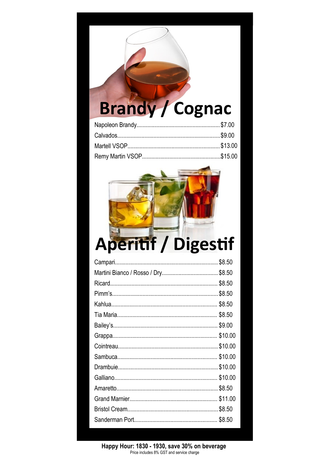# **Brandy / Cognac**



| \$8.50  |
|---------|
|         |
| \$8.50  |
| \$8.50  |
| \$8.50  |
| \$8.50  |
| \$9.00  |
| \$10.00 |
| \$10.00 |
| \$10.00 |
| \$10.00 |
|         |
| \$8.50  |
| \$11.00 |
| \$8.50  |
| \$8.50  |
|         |

Happy Hour: 1830 - 1930, save 30% on beverage<br>Price includes 8% GST and service charge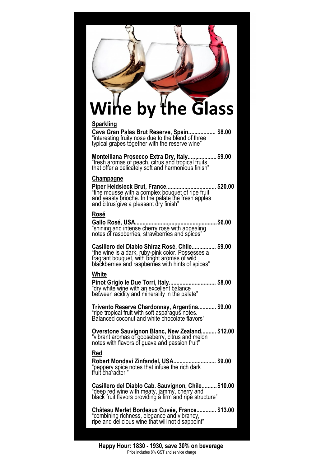# **Wine by the Glass**

#### **Sparkling**

Cava Gran Palas Brut Reserve, Spain................... \$8.00 "interesting fruity nose due to the blend of three typical grapes together with the reserve wine"

Montelliana Prosecco Extra Dry, Italy................... \$9.00 "fresh aromas of peach, citrus and tropical fruits that offer a delicately soft and harmonious finish"

#### **Champagne**

**\$20.00 Piper Heidsieck Brut, France.................................** "fine mousse with a complex bouquet of ripe fruit and yeasty brioche. In the palate the fresh apples and citrus give a pleasant dry finish"

#### **[Rosé](http://www.google.pt/url?sa=t&rct=j&q=&esrc=s&source=web&cd=1&cad=rja&ved=0CDIQFjAA&url=http%3A%2F%2Fen.wikipedia.org%2Fwiki%2FRos%25C3%25A9&ei=MF7JUseaIeWWiQe1y4DYCQ&usg=AFQjCNEEZfXrlR4JFz61GveSL6MMDDjyKQ&bvm=bv.58187178,d.aGc)**

**\$6.00 Gallo [Rosé,](http://www.google.pt/url?sa=t&rct=j&q=&esrc=s&source=web&cd=1&cad=rja&ved=0CDIQFjAA&url=http%3A%2F%2Fen.wikipedia.org%2Fwiki%2FRos%25C3%25A9&ei=MF7JUseaIeWWiQe1y4DYCQ&usg=AFQjCNEEZfXrlR4JFz61GveSL6MMDDjyKQ&bvm=bv.58187178,d.aGc) USA......................................................** "shining and intense cherry rosé with appealing notes of raspberries, strawberries and spices"

**\$9.00 Casillero del Diablo Shiraz [Rosé,](http://www.google.pt/url?sa=t&rct=j&q=&esrc=s&source=web&cd=1&cad=rja&ved=0CDIQFjAA&url=http%3A%2F%2Fen.wikipedia.org%2Fwiki%2FRos%25C3%25A9&ei=MF7JUseaIeWWiQe1y4DYCQ&usg=AFQjCNEEZfXrlR4JFz61GveSL6MMDDjyKQ&bvm=bv.58187178,d.aGc) Chile................** "the wine is a dark, ruby-pink color. Possesses a fragrant bouquet, with bright aromas of wild blackberries and raspberries with hints of spices"

#### **White**

Pinot Grigio le Due Torri, Italy................................. \$8.00 "dry white wine with an excellent balance between acidity and minerality in the palate"

**\$9.00 Trivento Reserve Chardonnay, Argentina............** "ripe tropical fruit with soft asparagus notes. Balanced coconut and white chocolate flavors"

**\$12.00 Overstone Sauvignon Blanc, New Zealand..........** "vibrant aromas of gooseberry, citrus and melon notes with flavors of guava and passion fruit"

#### **Red**

**\$9.00 Robert Mondavi Zinfandel, USA............................** "peppery spice notes that infuse the rich dark fruit character "

Casillero del Diablo Cab. Sauvignon, Chile.......... \$10.00 "deep red wine with meaty, jammy, cherry and black fruit flavors providing a firm and ripe structure"

**\$13.00 Château Merlet Bordeaux Cuvée, France.............** "combining richness, elegance and vibrancy, ripe and delicious wine that will not disappoint"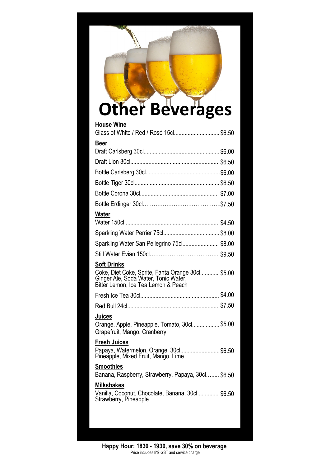# **Other Beverages**

| <b>House Wine</b>                                                                                                                                      |  |
|--------------------------------------------------------------------------------------------------------------------------------------------------------|--|
| Glass of White / Red / Rosé 15cl \$6.50                                                                                                                |  |
| <b>Beer</b>                                                                                                                                            |  |
|                                                                                                                                                        |  |
|                                                                                                                                                        |  |
|                                                                                                                                                        |  |
|                                                                                                                                                        |  |
|                                                                                                                                                        |  |
|                                                                                                                                                        |  |
| <u>Water</u>                                                                                                                                           |  |
|                                                                                                                                                        |  |
|                                                                                                                                                        |  |
| Sparkling Water San Pellegrino 75cl\$8.00                                                                                                              |  |
|                                                                                                                                                        |  |
| <b>Soft Drinks</b><br>Coke, Diet Coke, Sprite, Fanta Orange 30cl \$5.00<br>Ginger Ale, Soda Water, Tonic Water,<br>Bitter Lemon, Ice Tea Lemon & Peach |  |
|                                                                                                                                                        |  |
|                                                                                                                                                        |  |
| Juices<br>Orange, Apple, Pineapple, Tomato, 30cl\$5.00<br>Grapefruit, Mango, Cranberry                                                                 |  |
| <b>Fresh Juices</b><br>Papaya, Watermelon, Orange, 30cl\$6.50<br>Pineapple, Mixed Fruit, Mango, Lime                                                   |  |
| <b>Smoothies</b><br>Banana, Raspberry, Strawberry, Papaya, 30cl \$6.50                                                                                 |  |
| <b>Milkshakes</b><br>Vanilla, Coconut, Chocolate, Banana, 30cl \$6.50<br>Strawberry, Pineapple                                                         |  |
|                                                                                                                                                        |  |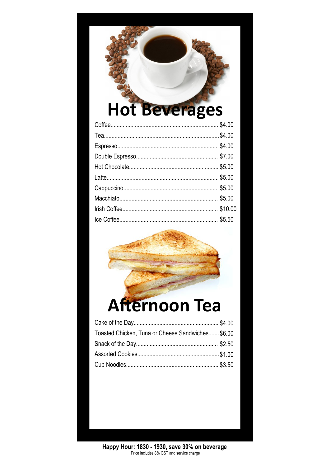## **Hot Beverages**

### **Afternoon Tea**

| Toasted Chicken, Tuna or Cheese Sandwiches \$6.00 |  |
|---------------------------------------------------|--|
|                                                   |  |
|                                                   |  |
|                                                   |  |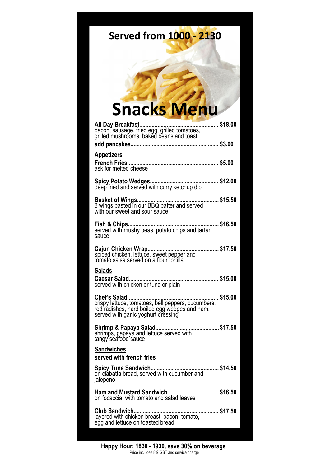### **Served from 1000 - 2130**

### **Snacks Menu**

| <b>Appetizers</b><br>ask for melted cheese                                                                                                 |         |
|--------------------------------------------------------------------------------------------------------------------------------------------|---------|
|                                                                                                                                            |         |
| with our sweet and sour sauce                                                                                                              |         |
| sauce                                                                                                                                      |         |
| spiced chicken, lettuce, sweet pepper and<br>tomato salsa served on a flour tortilla                                                       |         |
| <b>Salads</b><br>served with chicken or tuna or plain                                                                                      |         |
| crispy lettuce, tomatoes, bell peppers, cucumbers,<br>red radishes, hard boiled egg wedges and ham,<br>served with garlic yoghurt dressing |         |
| shrimps, papaya and lettuce served with<br>tangy seafood sauce                                                                             |         |
| <b>Sandwiches</b>                                                                                                                          |         |
| served with french fries                                                                                                                   |         |
| Spicy Tuna Sandwich<br>on ciabatta bread, served with cucumber and<br>jalepeno                                                             | \$14.50 |
| Ham and Mustard Sandwich\$16.50<br>on focaccia, with tomato and salad leaves                                                               |         |
| Club Sandwich<br>layered with chicken breast, bacon, tomato,<br>egg and lettuce on toasted bread                                           |         |